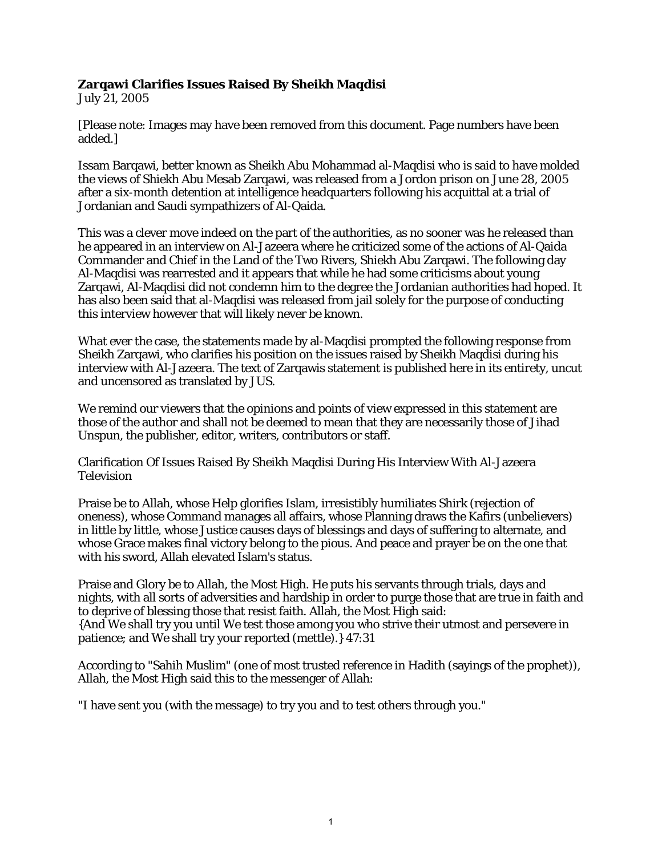## **Zarqawi Clarifies Issues Raised By Sheikh Maqdisi**

July 21, 2005

[Please note: Images may have been removed from this document. Page numbers have been added.]

Issam Barqawi, better known as Sheikh Abu Mohammad al-Maqdisi who is said to have molded the views of Shiekh Abu Mesab Zarqawi, was released from a Jordon prison on June 28, 2005 after a six-month detention at intelligence headquarters following his acquittal at a trial of Jordanian and Saudi sympathizers of Al-Qaida.

This was a clever move indeed on the part of the authorities, as no sooner was he released than he appeared in an interview on Al-Jazeera where he criticized some of the actions of Al-Qaida Commander and Chief in the Land of the Two Rivers, Shiekh Abu Zarqawi. The following day Al-Maqdisi was rearrested and it appears that while he had some criticisms about young Zarqawi, Al-Maqdisi did not condemn him to the degree the Jordanian authorities had hoped. It has also been said that al-Maqdisi was released from jail solely for the purpose of conducting this interview however that will likely never be known.

What ever the case, the statements made by al-Maqdisi prompted the following response from Sheikh Zarqawi, who clarifies his position on the issues raised by Sheikh Maqdisi during his interview with Al-Jazeera. The text of Zarqawis statement is published here in its entirety, uncut and uncensored as translated by JUS.

We remind our viewers that the opinions and points of view expressed in this statement are those of the author and shall not be deemed to mean that they are necessarily those of Jihad Unspun, the publisher, editor, writers, contributors or staff.

Clarification Of Issues Raised By Sheikh Maqdisi During His Interview With Al-Jazeera Television

Praise be to Allah, whose Help glorifies Islam, irresistibly humiliates Shirk (rejection of oneness), whose Command manages all affairs, whose Planning draws the Kafirs (unbelievers) in little by little, whose Justice causes days of blessings and days of suffering to alternate, and whose Grace makes final victory belong to the pious. And peace and prayer be on the one that with his sword, Allah elevated Islam's status.

Praise and Glory be to Allah, the Most High. He puts his servants through trials, days and nights, with all sorts of adversities and hardship in order to purge those that are true in faith and to deprive of blessing those that resist faith. Allah, the Most High said: {And We shall try you until We test those among you who strive their utmost and persevere in patience; and We shall try your reported (mettle).} 47:31

According to "Sahih Muslim" (one of most trusted reference in Hadith (sayings of the prophet)), Allah, the Most High said this to the messenger of Allah:

"I have sent you (with the message) to try you and to test others through you."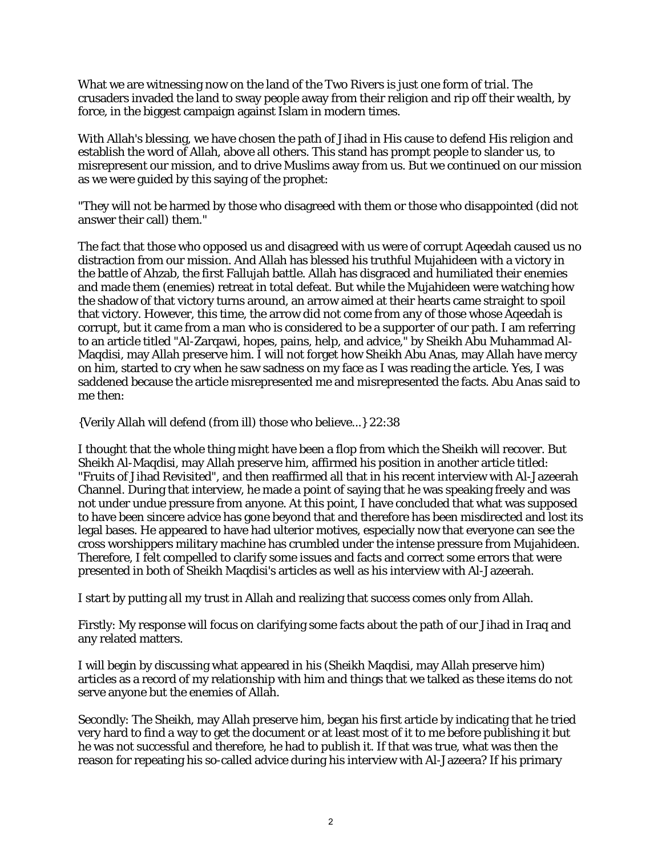What we are witnessing now on the land of the Two Rivers is just one form of trial. The crusaders invaded the land to sway people away from their religion and rip off their wealth, by force, in the biggest campaign against Islam in modern times.

With Allah's blessing, we have chosen the path of Jihad in His cause to defend His religion and establish the word of Allah, above all others. This stand has prompt people to slander us, to misrepresent our mission, and to drive Muslims away from us. But we continued on our mission as we were guided by this saying of the prophet:

"They will not be harmed by those who disagreed with them or those who disappointed (did not answer their call) them."

The fact that those who opposed us and disagreed with us were of corrupt Aqeedah caused us no distraction from our mission. And Allah has blessed his truthful Mujahideen with a victory in the battle of Ahzab, the first Fallujah battle. Allah has disgraced and humiliated their enemies and made them (enemies) retreat in total defeat. But while the Mujahideen were watching how the shadow of that victory turns around, an arrow aimed at their hearts came straight to spoil that victory. However, this time, the arrow did not come from any of those whose Aqeedah is corrupt, but it came from a man who is considered to be a supporter of our path. I am referring to an article titled "Al-Zarqawi, hopes, pains, help, and advice," by Sheikh Abu Muhammad Al-Maqdisi, may Allah preserve him. I will not forget how Sheikh Abu Anas, may Allah have mercy on him, started to cry when he saw sadness on my face as I was reading the article. Yes, I was saddened because the article misrepresented me and misrepresented the facts. Abu Anas said to me then:

{Verily Allah will defend (from ill) those who believe...} 22:38

I thought that the whole thing might have been a flop from which the Sheikh will recover. But Sheikh Al-Maqdisi, may Allah preserve him, affirmed his position in another article titled: "Fruits of Jihad Revisited", and then reaffirmed all that in his recent interview with Al-Jazeerah Channel. During that interview, he made a point of saying that he was speaking freely and was not under undue pressure from anyone. At this point, I have concluded that what was supposed to have been sincere advice has gone beyond that and therefore has been misdirected and lost its legal bases. He appeared to have had ulterior motives, especially now that everyone can see the cross worshippers military machine has crumbled under the intense pressure from Mujahideen. Therefore, I felt compelled to clarify some issues and facts and correct some errors that were presented in both of Sheikh Maqdisi's articles as well as his interview with Al-Jazeerah.

I start by putting all my trust in Allah and realizing that success comes only from Allah.

Firstly: My response will focus on clarifying some facts about the path of our Jihad in Iraq and any related matters.

I will begin by discussing what appeared in his (Sheikh Maqdisi, may Allah preserve him) articles as a record of my relationship with him and things that we talked as these items do not serve anyone but the enemies of Allah.

Secondly: The Sheikh, may Allah preserve him, began his first article by indicating that he tried very hard to find a way to get the document or at least most of it to me before publishing it but he was not successful and therefore, he had to publish it. If that was true, what was then the reason for repeating his so-called advice during his interview with Al-Jazeera? If his primary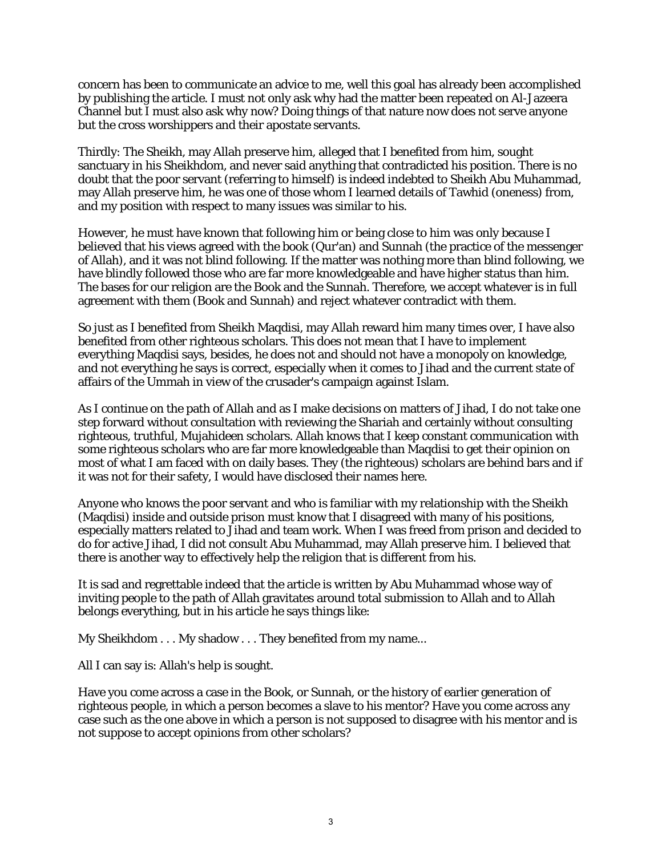concern has been to communicate an advice to me, well this goal has already been accomplished by publishing the article. I must not only ask why had the matter been repeated on Al-Jazeera Channel but I must also ask why now? Doing things of that nature now does not serve anyone but the cross worshippers and their apostate servants.

Thirdly: The Sheikh, may Allah preserve him, alleged that I benefited from him, sought sanctuary in his Sheikhdom, and never said anything that contradicted his position. There is no doubt that the poor servant (referring to himself) is indeed indebted to Sheikh Abu Muhammad, may Allah preserve him, he was one of those whom I learned details of Tawhid (oneness) from, and my position with respect to many issues was similar to his.

However, he must have known that following him or being close to him was only because I believed that his views agreed with the book (Qur'an) and Sunnah (the practice of the messenger of Allah), and it was not blind following. If the matter was nothing more than blind following, we have blindly followed those who are far more knowledgeable and have higher status than him. The bases for our religion are the Book and the Sunnah. Therefore, we accept whatever is in full agreement with them (Book and Sunnah) and reject whatever contradict with them.

So just as I benefited from Sheikh Maqdisi, may Allah reward him many times over, I have also benefited from other righteous scholars. This does not mean that I have to implement everything Maqdisi says, besides, he does not and should not have a monopoly on knowledge, and not everything he says is correct, especially when it comes to Jihad and the current state of affairs of the Ummah in view of the crusader's campaign against Islam.

As I continue on the path of Allah and as I make decisions on matters of Jihad, I do not take one step forward without consultation with reviewing the Shariah and certainly without consulting righteous, truthful, Mujahideen scholars. Allah knows that I keep constant communication with some righteous scholars who are far more knowledgeable than Maqdisi to get their opinion on most of what I am faced with on daily bases. They (the righteous) scholars are behind bars and if it was not for their safety, I would have disclosed their names here.

Anyone who knows the poor servant and who is familiar with my relationship with the Sheikh (Maqdisi) inside and outside prison must know that I disagreed with many of his positions, especially matters related to Jihad and team work. When I was freed from prison and decided to do for active Jihad, I did not consult Abu Muhammad, may Allah preserve him. I believed that there is another way to effectively help the religion that is different from his.

It is sad and regrettable indeed that the article is written by Abu Muhammad whose way of inviting people to the path of Allah gravitates around total submission to Allah and to Allah belongs everything, but in his article he says things like:

My Sheikhdom . . . My shadow . . . They benefited from my name...

All I can say is: Allah's help is sought.

Have you come across a case in the Book, or Sunnah, or the history of earlier generation of righteous people, in which a person becomes a slave to his mentor? Have you come across any case such as the one above in which a person is not supposed to disagree with his mentor and is not suppose to accept opinions from other scholars?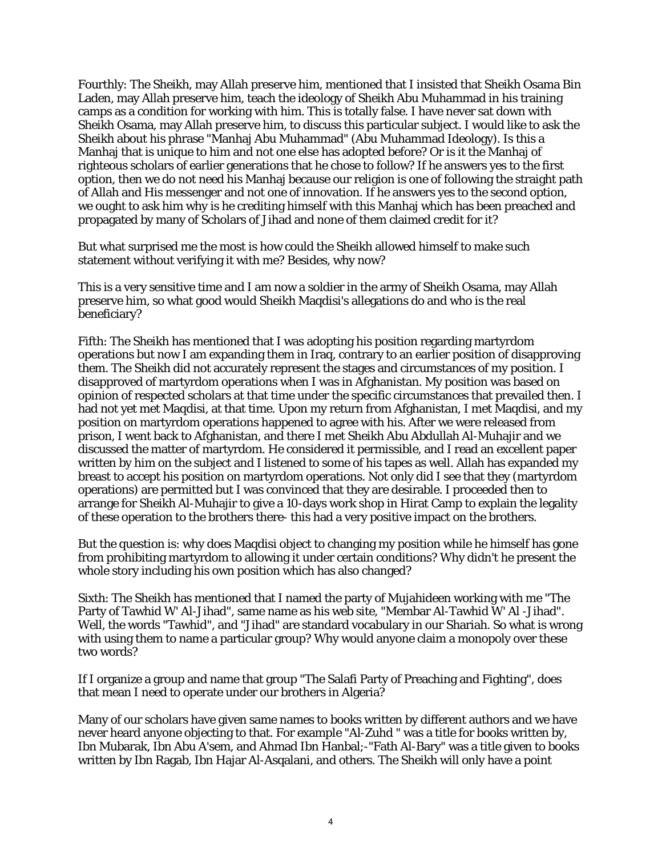Fourthly: The Sheikh, may Allah preserve him, mentioned that I insisted that Sheikh Osama Bin Laden, may Allah preserve him, teach the ideology of Sheikh Abu Muhammad in his training camps as a condition for working with him. This is totally false. I have never sat down with Sheikh Osama, may Allah preserve him, to discuss this particular subject. I would like to ask the Sheikh about his phrase "Manhaj Abu Muhammad" (Abu Muhammad Ideology). Is this a Manhaj that is unique to him and not one else has adopted before? Or is it the Manhaj of righteous scholars of earlier generations that he chose to follow? If he answers yes to the first option, then we do not need his Manhaj because our religion is one of following the straight path of Allah and His messenger and not one of innovation. If he answers yes to the second option, we ought to ask him why is he crediting himself with this Manhaj which has been preached and propagated by many of Scholars of Jihad and none of them claimed credit for it?

But what surprised me the most is how could the Sheikh allowed himself to make such statement without verifying it with me? Besides, why now?

This is a very sensitive time and I am now a soldier in the army of Sheikh Osama, may Allah preserve him, so what good would Sheikh Maqdisi's allegations do and who is the real beneficiary?

Fifth: The Sheikh has mentioned that I was adopting his position regarding martyrdom operations but now I am expanding them in Iraq, contrary to an earlier position of disapproving them. The Sheikh did not accurately represent the stages and circumstances of my position. I disapproved of martyrdom operations when I was in Afghanistan. My position was based on opinion of respected scholars at that time under the specific circumstances that prevailed then. I had not yet met Maqdisi, at that time. Upon my return from Afghanistan, I met Maqdisi, and my position on martyrdom operations happened to agree with his. After we were released from prison, I went back to Afghanistan, and there I met Sheikh Abu Abdullah Al-Muhajir and we discussed the matter of martyrdom. He considered it permissible, and I read an excellent paper written by him on the subject and I listened to some of his tapes as well. Allah has expanded my breast to accept his position on martyrdom operations. Not only did I see that they (martyrdom operations) are permitted but I was convinced that they are desirable. I proceeded then to arrange for Sheikh Al-Muhajir to give a 10-days work shop in Hirat Camp to explain the legality of these operation to the brothers there- this had a very positive impact on the brothers.

But the question is: why does Maqdisi object to changing my position while he himself has gone from prohibiting martyrdom to allowing it under certain conditions? Why didn't he present the whole story including his own position which has also changed?

Sixth: The Sheikh has mentioned that I named the party of Mujahideen working with me "The Party of Tawhid W' Al-Jihad", same name as his web site, "Membar Al-Tawhid W' Al -Jihad". Well, the words "Tawhid", and "Jihad" are standard vocabulary in our Shariah. So what is wrong with using them to name a particular group? Why would anyone claim a monopoly over these two words?

If I organize a group and name that group "The Salafi Party of Preaching and Fighting", does that mean I need to operate under our brothers in Algeria?

Many of our scholars have given same names to books written by different authors and we have never heard anyone objecting to that. For example "Al-Zuhd " was a title for books written by, Ibn Mubarak, Ibn Abu A'sem, and Ahmad Ibn Hanbal;-"Fath Al-Bary" was a title given to books written by Ibn Ragab, Ibn Hajar Al-Asqalani, and others. The Sheikh will only have a point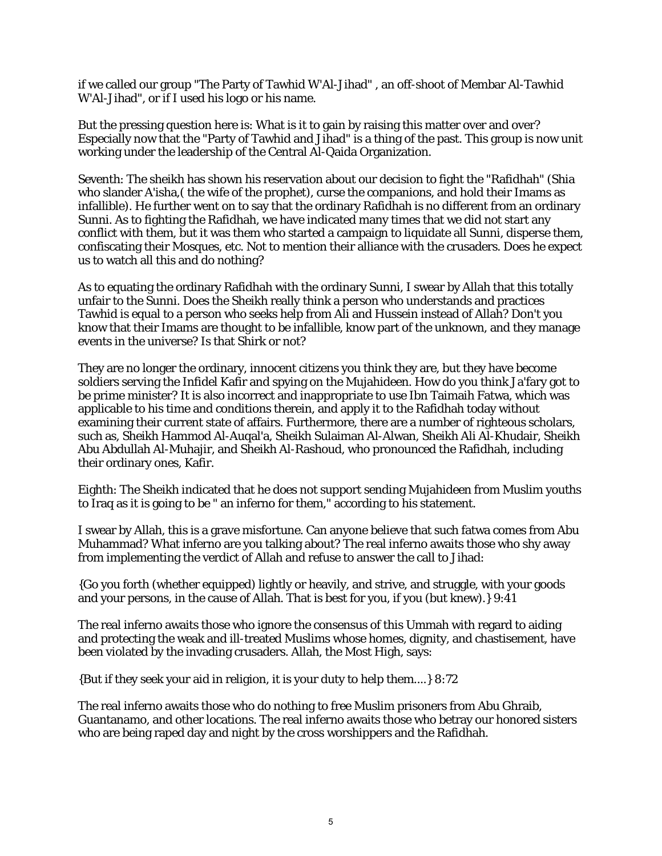if we called our group "The Party of Tawhid W'Al-Jihad" , an off-shoot of Membar Al-Tawhid W'Al-Jihad", or if I used his logo or his name.

But the pressing question here is: What is it to gain by raising this matter over and over? Especially now that the "Party of Tawhid and Jihad" is a thing of the past. This group is now unit working under the leadership of the Central Al-Qaida Organization.

Seventh: The sheikh has shown his reservation about our decision to fight the "Rafidhah" (Shia who slander A'isha,( the wife of the prophet), curse the companions, and hold their Imams as infallible). He further went on to say that the ordinary Rafidhah is no different from an ordinary Sunni. As to fighting the Rafidhah, we have indicated many times that we did not start any conflict with them, but it was them who started a campaign to liquidate all Sunni, disperse them, confiscating their Mosques, etc. Not to mention their alliance with the crusaders. Does he expect us to watch all this and do nothing?

As to equating the ordinary Rafidhah with the ordinary Sunni, I swear by Allah that this totally unfair to the Sunni. Does the Sheikh really think a person who understands and practices Tawhid is equal to a person who seeks help from Ali and Hussein instead of Allah? Don't you know that their Imams are thought to be infallible, know part of the unknown, and they manage events in the universe? Is that Shirk or not?

They are no longer the ordinary, innocent citizens you think they are, but they have become soldiers serving the Infidel Kafir and spying on the Mujahideen. How do you think Ja'fary got to be prime minister? It is also incorrect and inappropriate to use Ibn Taimaih Fatwa, which was applicable to his time and conditions therein, and apply it to the Rafidhah today without examining their current state of affairs. Furthermore, there are a number of righteous scholars, such as, Sheikh Hammod Al-Auqal'a, Sheikh Sulaiman Al-Alwan, Sheikh Ali Al-Khudair, Sheikh Abu Abdullah Al-Muhajir, and Sheikh Al-Rashoud, who pronounced the Rafidhah, including their ordinary ones, Kafir.

Eighth: The Sheikh indicated that he does not support sending Mujahideen from Muslim youths to Iraq as it is going to be " an inferno for them," according to his statement.

I swear by Allah, this is a grave misfortune. Can anyone believe that such fatwa comes from Abu Muhammad? What inferno are you talking about? The real inferno awaits those who shy away from implementing the verdict of Allah and refuse to answer the call to Jihad:

{Go you forth (whether equipped) lightly or heavily, and strive, and struggle, with your goods and your persons, in the cause of Allah. That is best for you, if you (but knew).} 9:41

The real inferno awaits those who ignore the consensus of this Ummah with regard to aiding and protecting the weak and ill-treated Muslims whose homes, dignity, and chastisement, have been violated by the invading crusaders. Allah, the Most High, says:

{But if they seek your aid in religion, it is your duty to help them....} 8:72

The real inferno awaits those who do nothing to free Muslim prisoners from Abu Ghraib, Guantanamo, and other locations. The real inferno awaits those who betray our honored sisters who are being raped day and night by the cross worshippers and the Rafidhah.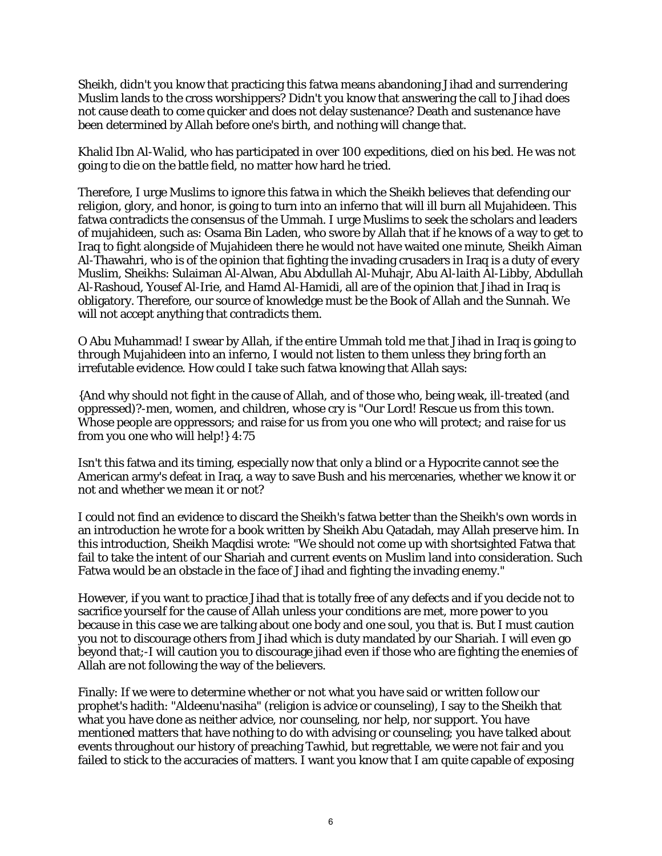Sheikh, didn't you know that practicing this fatwa means abandoning Jihad and surrendering Muslim lands to the cross worshippers? Didn't you know that answering the call to Jihad does not cause death to come quicker and does not delay sustenance? Death and sustenance have been determined by Allah before one's birth, and nothing will change that.

Khalid Ibn Al-Walid, who has participated in over 100 expeditions, died on his bed. He was not going to die on the battle field, no matter how hard he tried.

Therefore, I urge Muslims to ignore this fatwa in which the Sheikh believes that defending our religion, glory, and honor, is going to turn into an inferno that will ill burn all Mujahideen. This fatwa contradicts the consensus of the Ummah. I urge Muslims to seek the scholars and leaders of mujahideen, such as: Osama Bin Laden, who swore by Allah that if he knows of a way to get to Iraq to fight alongside of Mujahideen there he would not have waited one minute, Sheikh Aiman Al-Thawahri, who is of the opinion that fighting the invading crusaders in Iraq is a duty of every Muslim, Sheikhs: Sulaiman Al-Alwan, Abu Abdullah Al-Muhajr, Abu Al-laith Al-Libby, Abdullah Al-Rashoud, Yousef Al-Irie, and Hamd Al-Hamidi, all are of the opinion that Jihad in Iraq is obligatory. Therefore, our source of knowledge must be the Book of Allah and the Sunnah. We will not accept anything that contradicts them.

O Abu Muhammad! I swear by Allah, if the entire Ummah told me that Jihad in Iraq is going to through Mujahideen into an inferno, I would not listen to them unless they bring forth an irrefutable evidence. How could I take such fatwa knowing that Allah says:

{And why should not fight in the cause of Allah, and of those who, being weak, ill-treated (and oppressed)?-men, women, and children, whose cry is "Our Lord! Rescue us from this town. Whose people are oppressors; and raise for us from you one who will protect; and raise for us from you one who will help!} 4:75

Isn't this fatwa and its timing, especially now that only a blind or a Hypocrite cannot see the American army's defeat in Iraq, a way to save Bush and his mercenaries, whether we know it or not and whether we mean it or not?

I could not find an evidence to discard the Sheikh's fatwa better than the Sheikh's own words in an introduction he wrote for a book written by Sheikh Abu Qatadah, may Allah preserve him. In this introduction, Sheikh Maqdisi wrote: "We should not come up with shortsighted Fatwa that fail to take the intent of our Shariah and current events on Muslim land into consideration. Such Fatwa would be an obstacle in the face of Jihad and fighting the invading enemy."

However, if you want to practice Jihad that is totally free of any defects and if you decide not to sacrifice yourself for the cause of Allah unless your conditions are met, more power to you because in this case we are talking about one body and one soul, you that is. But I must caution you not to discourage others from Jihad which is duty mandated by our Shariah. I will even go beyond that;-I will caution you to discourage jihad even if those who are fighting the enemies of Allah are not following the way of the believers.

Finally: If we were to determine whether or not what you have said or written follow our prophet's hadith: "Aldeenu'nasiha" (religion is advice or counseling), I say to the Sheikh that what you have done as neither advice, nor counseling, nor help, nor support. You have mentioned matters that have nothing to do with advising or counseling; you have talked about events throughout our history of preaching Tawhid, but regrettable, we were not fair and you failed to stick to the accuracies of matters. I want you know that I am quite capable of exposing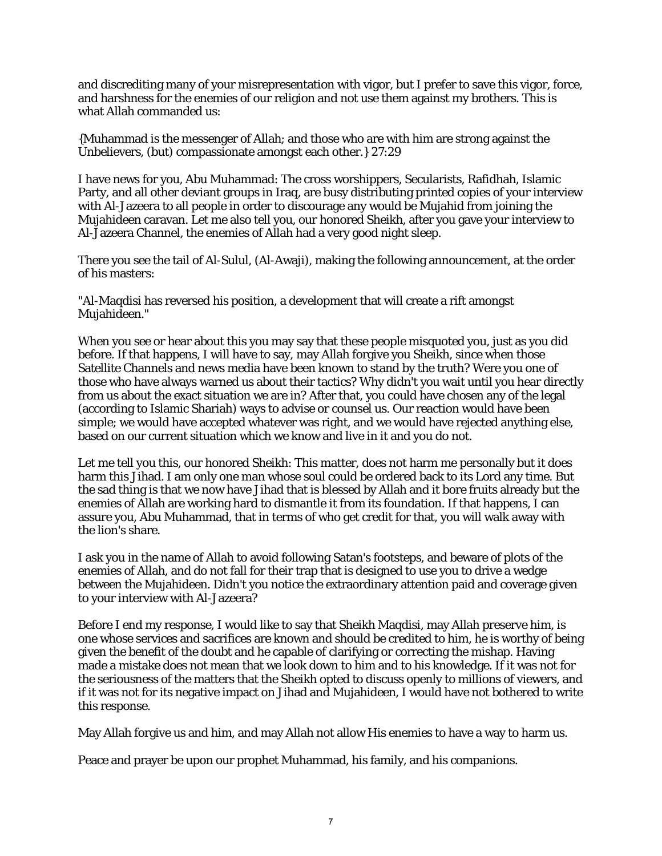and discrediting many of your misrepresentation with vigor, but I prefer to save this vigor, force, and harshness for the enemies of our religion and not use them against my brothers. This is what Allah commanded us:

{Muhammad is the messenger of Allah; and those who are with him are strong against the Unbelievers, (but) compassionate amongst each other.} 27:29

I have news for you, Abu Muhammad: The cross worshippers, Secularists, Rafidhah, Islamic Party, and all other deviant groups in Iraq, are busy distributing printed copies of your interview with Al-Jazeera to all people in order to discourage any would be Mujahid from joining the Mujahideen caravan. Let me also tell you, our honored Sheikh, after you gave your interview to Al-Jazeera Channel, the enemies of Allah had a very good night sleep.

There you see the tail of Al-Sulul, (Al-Awaji), making the following announcement, at the order of his masters:

"Al-Maqdisi has reversed his position, a development that will create a rift amongst Mujahideen."

When you see or hear about this you may say that these people misquoted you, just as you did before. If that happens, I will have to say, may Allah forgive you Sheikh, since when those Satellite Channels and news media have been known to stand by the truth? Were you one of those who have always warned us about their tactics? Why didn't you wait until you hear directly from us about the exact situation we are in? After that, you could have chosen any of the legal (according to Islamic Shariah) ways to advise or counsel us. Our reaction would have been simple; we would have accepted whatever was right, and we would have rejected anything else, based on our current situation which we know and live in it and you do not.

Let me tell you this, our honored Sheikh: This matter, does not harm me personally but it does harm this Jihad. I am only one man whose soul could be ordered back to its Lord any time. But the sad thing is that we now have Jihad that is blessed by Allah and it bore fruits already but the enemies of Allah are working hard to dismantle it from its foundation. If that happens, I can assure you, Abu Muhammad, that in terms of who get credit for that, you will walk away with the lion's share.

I ask you in the name of Allah to avoid following Satan's footsteps, and beware of plots of the enemies of Allah, and do not fall for their trap that is designed to use you to drive a wedge between the Mujahideen. Didn't you notice the extraordinary attention paid and coverage given to your interview with Al-Jazeera?

Before I end my response, I would like to say that Sheikh Maqdisi, may Allah preserve him, is one whose services and sacrifices are known and should be credited to him, he is worthy of being given the benefit of the doubt and he capable of clarifying or correcting the mishap. Having made a mistake does not mean that we look down to him and to his knowledge. If it was not for the seriousness of the matters that the Sheikh opted to discuss openly to millions of viewers, and if it was not for its negative impact on Jihad and Mujahideen, I would have not bothered to write this response.

May Allah forgive us and him, and may Allah not allow His enemies to have a way to harm us.

Peace and prayer be upon our prophet Muhammad, his family, and his companions.